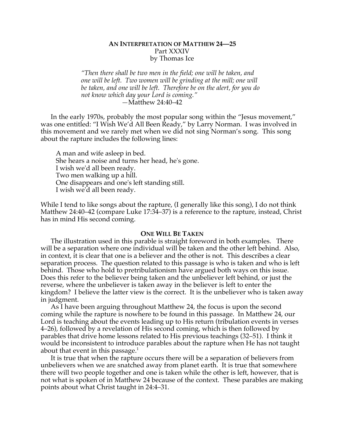# **AN INTERPRETATION OF MATTHEW 24—25** Part XXXIV by Thomas Ice

*"Then there shall be two men in the field; one will be taken, and one will be left. Two women will be grinding at the mill; one will be taken, and one will be left. Therefore be on the alert, for you do not know which day your Lord is coming." —*Matthew 24:40–42

In the early 1970s, probably the most popular song within the "Jesus movement," was one entitled: "I Wish We'd All Been Ready," by Larry Norman. I was involved in this movement and we rarely met when we did not sing Norman's song. This song about the rapture includes the following lines:

A man and wife asleep in bed. She hears a noise and turns her head, he's gone. I wish we'd all been ready. Two men walking up a hill. One disappears and one's left standing still. I wish we'd all been ready.

While I tend to like songs about the rapture, (I generally like this song), I do not think Matthew 24:40–42 (compare Luke 17:34–37) is a reference to the rapture, instead, Christ has in mind His second coming.

#### **ONE WILL BE TAKEN**

The illustration used in this parable is straight foreword in both examples. There will be a separation where one individual will be taken and the other left behind. Also, in context, it is clear that one is a believer and the other is not. This describes a clear separation process. The question related to this passage is who is taken and who is left behind. Those who hold to pretribulationism have argued both ways on this issue. Does this refer to the believer being taken and the unbeliever left behind, or just the reverse, where the unbeliever is taken away in the believer is left to enter the kingdom? I believe the latter view is the correct. It is the unbeliever who is taken away in judgment.

As I have been arguing throughout Matthew 24, the focus is upon the second coming while the rapture is nowhere to be found in this passage. In Matthew 24, our Lord is teaching about the events leading up to His return (tribulation events in verses 4–26), followed by a revelation of His second coming, which is then followed by parables that drive home lessons related to His previous teachings (32–51). I think it would be inconsistent to introduce parables about the rapture when He has not taught about that event in this passage.<sup>1</sup>

It is true that when the rapture occurs there will be a separation of believers from unbelievers when we are snatched away from planet earth. It is true that somewhere there will two people together and one is taken while the other is left, however, that is not what is spoken of in Matthew 24 because of the context. These parables are making points about what Christ taught in 24:4–31.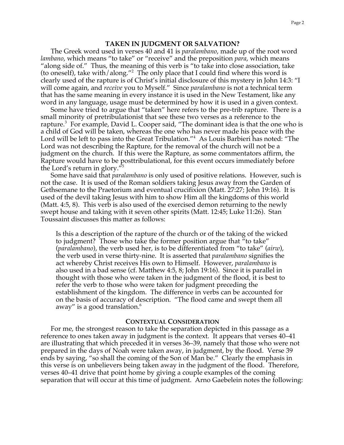## **TAKEN IN JUDGMENT OR SALVATION?**

The Greek word used in verses 40 and 41 is *paralambano*, made up of the root word *lambano*, which means "to take" or "receive" and the preposition *para*, which means "along side of." Thus, the meaning of this verb is "to take into close association, take (to oneself), take with/along."<sup>2</sup> The only place that I could find where this word is clearly used of the rapture is of Christ's initial disclosure of this mystery in John 14:3: "I will come again, and *receive* you to Myself." Since *paralambano* is not a technical term that has the same meaning in every instance it is used in the New Testament, like any word in any language, usage must be determined by how it is used in a given context.

Some have tried to argue that "taken" here refers to the pre-trib rapture. There is a small minority of pretribulationist that see these two verses as a reference to the rapture.<sup>3</sup> For example, David L. Cooper said, "The dominant idea is that the one who is a child of God will be taken, whereas the one who has never made his peace with the Lord will be left to pass into the Great Tribulation."<sup>4</sup> As Louis Barbieri has noted: "The Lord was not describing the Rapture, for the removal of the church will not be a judgment on the church. If this were the Rapture, as some commentators affirm, the Rapture would have to be posttribulational, for this event occurs immediately before the Lord's return in glory."<sup>5</sup>

Some have said that *paralambano* is only used of positive relations. However, such is not the case. It is used of the Roman soldiers taking Jesus away from the Garden of Gethsemane to the Praetorium and eventual crucifixion (Matt. 27:27; John 19:16). It is used of the devil taking Jesus with him to show Him all the kingdoms of this world (Matt. 4:5, 8). This verb is also used of the exercised demon returning to the newly swept house and taking with it seven other spirits (Matt. 12:45; Luke 11:26). Stan Toussaint discusses this matter as follows:

Is this a description of the rapture of the church or of the taking of the wicked to judgment? Those who take the former position argue that "to take" (*paralambano*), the verb used her, is to be differentiated from "to take" (*airw*), the verb used in verse thirty-nine. It is asserted that *paralambano* signifies the act whereby Christ receives His own to Himself. However, *paralambano* is also used in a bad sense (cf. Matthew 4:5, 8; John 19:16). Since it is parallel in thought with those who were taken in the judgment of the flood, it is best to refer the verb to those who were taken for judgment preceding the establishment of the kingdom. The difference in verbs can be accounted for on the basis of accuracy of description. "The flood came and swept them all away" is a good translation.<sup>6</sup>

#### **CONTEXTUAL CONSIDERATION**

For me, the strongest reason to take the separation depicted in this passage as a reference to ones taken away in judgment is the context. It appears that verses 40–41 are illustrating that which preceded it in verses 36–39, namely that those who were not prepared in the days of Noah were taken away, in judgment, by the flood. Verse 39 ends by saying, "so shall the coming of the Son of Man be." Clearly the emphasis in this verse is on unbelievers being taken away in the judgment of the flood. Therefore, verses 40–41 drive that point home by giving a couple examples of the coming separation that will occur at this time of judgment. Arno Gaebelein notes the following: